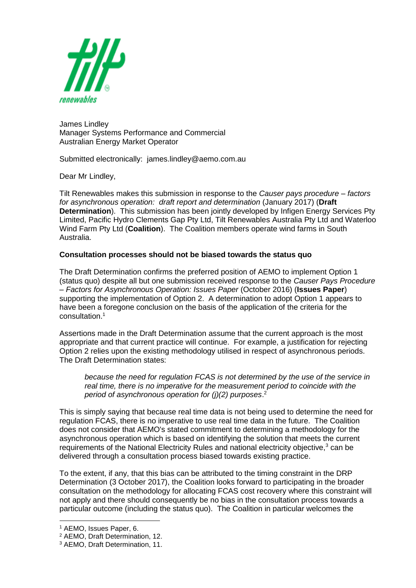

James Lindley Manager Systems Performance and Commercial Australian Energy Market Operator

Submitted electronically: james.lindley@aemo.com.au

Dear Mr Lindley,

Tilt Renewables makes this submission in response to the *Causer pays procedure – factors for asynchronous operation: draft report and determination* (January 2017) (**Draft Determination**). This submission has been jointly developed by Infigen Energy Services Pty Limited, Pacific Hydro Clements Gap Pty Ltd, Tilt Renewables Australia Pty Ltd and Waterloo Wind Farm Pty Ltd (**Coalition**). The Coalition members operate wind farms in South Australia.

## **Consultation processes should not be biased towards the status quo**

The Draft Determination confirms the preferred position of AEMO to implement Option 1 (status quo) despite all but one submission received response to the *Causer Pays Procedure – Factors for Asynchronous Operation: Issues Paper* (October 2016) (**Issues Paper**) supporting the implementation of Option 2. A determination to adopt Option 1 appears to have been a foregone conclusion on the basis of the application of the criteria for the consultation.<sup>1</sup>

Assertions made in the Draft Determination assume that the current approach is the most appropriate and that current practice will continue. For example, a justification for rejecting Option 2 relies upon the existing methodology utilised in respect of asynchronous periods. The Draft Determination states:

*because the need for regulation FCAS is not determined by the use of the service in real time, there is no imperative for the measurement period to coincide with the period of asynchronous operation for (j)(2) purposes*. 2

This is simply saying that because real time data is not being used to determine the need for regulation FCAS, there is no imperative to use real time data in the future. The Coalition does not consider that AEMO's stated commitment to determining a methodology for the asynchronous operation which is based on identifying the solution that meets the current requirements of the National Electricity Rules and national electricity objective,<sup>3</sup> can be delivered through a consultation process biased towards existing practice.

To the extent, if any, that this bias can be attributed to the timing constraint in the DRP Determination (3 October 2017), the Coalition looks forward to participating in the broader consultation on the methodology for allocating FCAS cost recovery where this constraint will not apply and there should consequently be no bias in the consultation process towards a particular outcome (including the status quo). The Coalition in particular welcomes the

1

<sup>1</sup> AEMO, Issues Paper, 6.

<sup>2</sup> AEMO, Draft Determination, 12.

<sup>3</sup> AEMO, Draft Determination, 11.